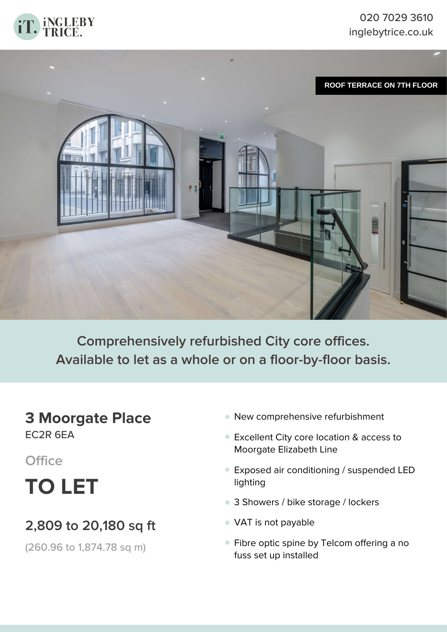



**Comprehensively refurbished City core offices. Available to let as a whole or on a floor-by-floor basis.**

## **3 Moorgate Place** EC2R 6EA

**Office**

**TO LET**

# **2,809 to 20,180 sq ft**

(260.96 to 1,874.78 sq m)

- **•** New comprehensive refurbishment
- Excellent City core location & access to **•** Moorgate Elizabeth Line
- Exposed air conditioning / suspended LED **•** lighting
- **•** 3 Showers / bike storage / lockers
- **•** VAT is not payable
- Fibre optic spine by Telcom offering a no **•**fuss set up installed